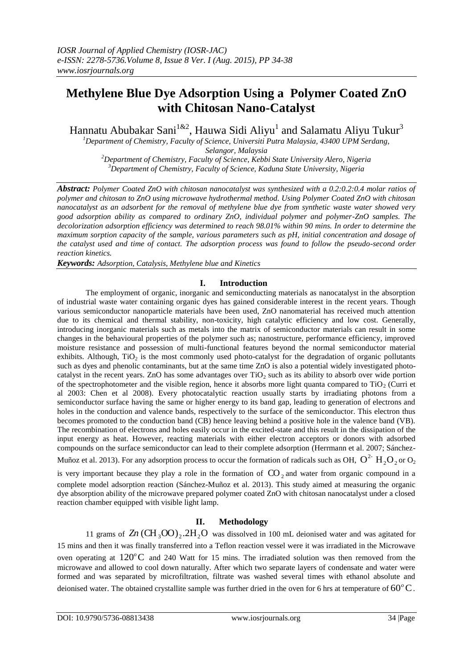# **Methylene Blue Dye Adsorption Using a [Polymer Coated ZnO](http://www.journal.csj.jp/cl-article/cl-ap-141190)  [with Chitosan Nano-Catalyst](http://www.journal.csj.jp/cl-article/cl-ap-141190)**

Hannatu Abubakar Sani<sup>1&2</sup>, Hauwa Sidi Aliyu<sup>1</sup> and Salamatu Aliyu Tukur<sup>3</sup>

*<sup>1</sup>Department of Chemistry, Faculty of Science, Universiti Putra Malaysia, 43400 UPM Serdang, Selangor, Malaysia <sup>2</sup>Department of Chemistry, Faculty of Science, Kebbi State University Alero, Nigeria*

*<sup>3</sup>Department of Chemistry, Faculty of Science, Kaduna State University, Nigeria*

*Abstract: Polymer Coated ZnO with chitosan nanocatalyst was synthesized with a 0.2:0.2:0.4 molar ratios of polymer and chitosan to ZnO using microwave hydrothermal method. Using Polymer Coated ZnO with chitosan nanocatalyst as an adsorbent for the removal of methylene blue dye from synthetic waste water showed very good adsorption ability as compared to ordinary ZnO, individual polymer and polymer-ZnO samples. The decolorization adsorption efficiency was determined to reach 98.01% within 90 mins. In order to determine the maximum sorption capacity of the sample, various parameters such as pH, initial concentration and dosage of the catalyst used and time of contact. The adsorption process was found to follow the pseudo-second order reaction kinetics.*

*Keywords: Adsorption, Catalysis, Methylene blue and Kinetics*

# **I. Introduction**

The employment of organic, inorganic and semiconducting materials as nanocatalyst in the absorption of industrial waste water containing organic dyes has gained considerable interest in the recent years. Though various semiconductor nanoparticle materials have been used, ZnO nanomaterial has received much attention due to its chemical and thermal stability, non-toxicity, high catalytic efficiency and low cost. Generally, introducing inorganic materials such as metals into the matrix of semiconductor materials can result in some changes in the behavioural properties of the polymer such as; nanostructure, performance efficiency, improved moisture resistance and possession of multi-functional features beyond the normal semiconductor material exhibits. Although,  $TiO<sub>2</sub>$  is the most commonly used photo-catalyst for the degradation of organic pollutants such as dyes and phenolic contaminants, but at the same time ZnO is also a potential widely investigated photocatalyst in the recent years. ZnO has some advantages over  $TiO<sub>2</sub>$  such as its ability to absorb over wide portion of the spectrophotometer and the visible region, hence it absorbs more light quanta compared to  $TiO<sub>2</sub>$  (Curri et al 2003: Chen et al 2008). Every photocatalytic reaction usually starts by irradiating photons from a semiconductor surface having the same or higher energy to its band gap, leading to generation of electrons and holes in the conduction and valence bands, respectively to the surface of the semiconductor. This electron thus becomes promoted to the conduction band (CB) hence leaving behind a positive hole in the valence band (VB). The recombination of electrons and holes easily occur in the excited-state and this result in the dissipation of the input energy as heat. However, reacting materials with either electron acceptors or donors with adsorbed compounds on the surface semiconductor can lead to their complete adsorption (Herrmann et al. 2007; Sánchez-

Muñoz et al. 2013). For any adsorption process to occur the formation of radicals such as OH,  $O^{2-}$  H<sub>2</sub>O<sub>2</sub> or O<sub>2</sub>

is very important because they play a role in the formation of  $CO_2$  and water from organic compound in a complete model adsorption reaction (Sánchez-Muñoz et al. 2013). This study aimed at measuring the organic dye absorption ability of the microwave prepared polymer coated ZnO with chitosan nanocatalyst under a closed reaction chamber equipped with visible light lamp.

# **II. Methodology**

11 grams of  $Zn$  (CH<sub>3</sub>OO)<sub>2</sub>.2H<sub>2</sub>O was dissolved in 100 mL deionised water and was agitated for 15 mins and then it was finally transferred into a Teflon reaction vessel were it was irradiated in the Microwave oven operating at 120°C and 240 Watt for 15 mins. The irradiated solution was then removed from the microwave and allowed to cool down naturally. After which two separate layers of condensate and water were formed and was separated by microfiltration, filtrate was washed several times with ethanol absolute and deionised water. The obtained crystallite sample was further dried in the oven for 6 hrs at temperature of  $60^{\circ}$ C.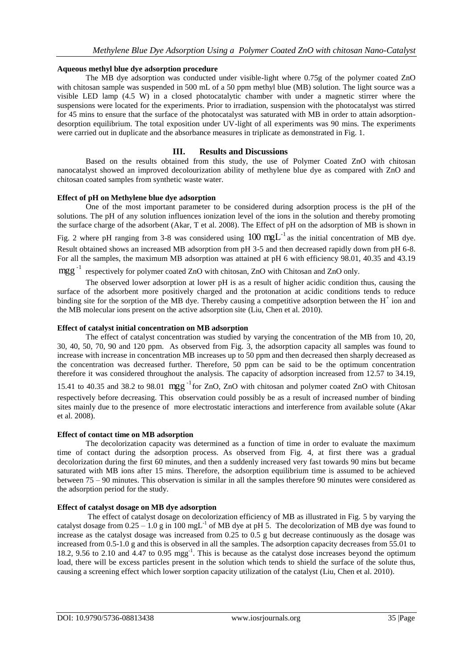#### **Aqueous methyl blue dye adsorption procedure**

The MB dye adsorption was conducted under visible-light where 0.75g of the polymer coated ZnO with chitosan sample was suspended in 500 mL of a 50 ppm methyl blue (MB) solution. The light source was a visible LED lamp (4.5 W) in a closed photocatalytic chamber with under a magnetic stirrer where the suspensions were located for the experiments. Prior to irradiation, suspension with the photocatalyst was stirred for 45 mins to ensure that the surface of the photocatalyst was saturated with MB in order to attain adsorptiondesorption equilibrium. The total exposition under UV-light of all experiments was 90 mins. The experiments were carried out in duplicate and the absorbance measures in triplicate as demonstrated in Fig. 1.

## **III. Results and Discussions**

Based on the results obtained from this study, the use of Polymer Coated ZnO with chitosan nanocatalyst showed an improved decolourization ability of methylene blue dye as compared with ZnO and chitosan coated samples from synthetic waste water.

#### **Effect of pH on Methylene blue dye adsorption**

One of the most important parameter to be considered during adsorption process is the pH of the solutions. The pH of any solution influences ionization level of the ions in the solution and thereby promoting the surface charge of the adsorbent (Akar, T et al. 2008). The Effect of pH on the adsorption of MB is shown in

Fig. 2 where pH ranging from 3-8 was considered using  $100 \text{ mgL}^{-1}$  as the initial concentration of MB dye. Result obtained shows an increased MB adsorption from pH 3-5 and then decreased rapidly down from pH 6-8. For all the samples, the maximum MB adsorption was attained at pH 6 with efficiency 98.01, 40.35 and 43.19

# mgg<sup>-1</sup> respectively for polymer coated ZnO with chitosan, ZnO with Chitosan and ZnO only.

The observed lower adsorption at lower pH is as a result of higher acidic condition thus, causing the surface of the adsorbent more positively charged and the protonation at acidic conditions tends to reduce binding site for the sorption of the MB dye. Thereby causing a competitive adsorption between the  $H^+$  ion and the MB molecular ions present on the active adsorption site (Liu, Chen et al. 2010).

#### **Effect of catalyst initial concentration on MB adsorption**

The effect of catalyst concentration was studied by varying the concentration of the MB from 10, 20, 30, 40, 50, 70, 90 and 120 ppm. As observed from Fig. 3, the adsorption capacity all samples was found to increase with increase in concentration MB increases up to 50 ppm and then decreased then sharply decreased as the concentration was decreased further. Therefore, 50 ppm can be said to be the optimum concentration therefore it was considered throughout the analysis. The capacity of adsorption increased from 12.57 to 34.19,

15.41 to 40.35 and 38.2 to 98.01 mgg<sup>-1</sup> for ZnO, ZnO with chitosan and polymer coated ZnO with Chitosan respectively before decreasing. This observation could possibly be as a result of increased number of binding sites mainly due to the presence of more electrostatic interactions and interference from available solute (Akar et al. 2008).

#### **Effect of contact time on MB adsorption**

The decolorization capacity was determined as a function of time in order to evaluate the maximum time of contact during the adsorption process. As observed from Fig. 4, at first there was a gradual decolorization during the first 60 minutes, and then a suddenly increased very fast towards 90 mins but became saturated with MB ions after 15 mins. Therefore, the adsorption equilibrium time is assumed to be achieved between 75 – 90 minutes. This observation is similar in all the samples therefore 90 minutes were considered as the adsorption period for the study.

## **Effect of catalyst dosage on MB dye adsorption**

The effect of catalyst dosage on decolorization efficiency of MB as illustrated in Fig. 5 by varying the catalyst dosage from  $0.25 - 1.0$  g in 100 mgL<sup>-1</sup> of MB dye at pH 5. The decolorization of MB dye was found to increase as the catalyst dosage was increased from 0.25 to 0.5 g but decrease continuously as the dosage was increased from 0.5-1.0 g and this is observed in all the samples. The adsorption capacity decreases from 55.01 to 18.2, 9.56 to 2.10 and 4.47 to 0.95 mgg-1 . This is because as the catalyst dose increases beyond the optimum load, there will be excess particles present in the solution which tends to shield the surface of the solute thus, causing a screening effect which lower sorption capacity utilization of the catalyst (Liu, Chen et al. 2010).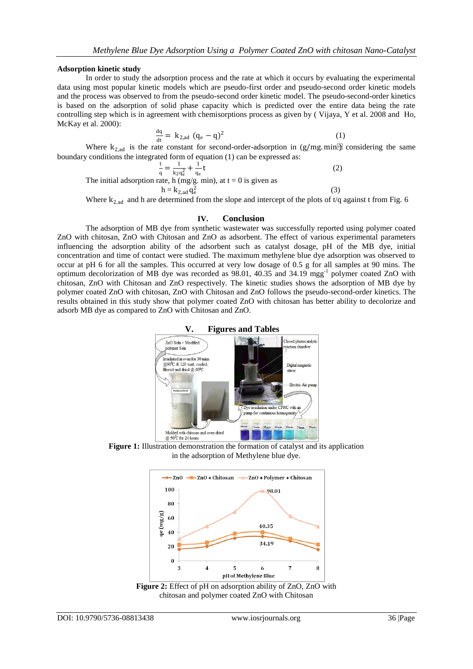#### **Adsorption kinetic study**

In order to study the adsorption process and the rate at which it occurs by evaluating the experimental data using most popular kinetic models which are pseudo-first order and pseudo-second order kinetic models and the process was observed to from the pseudo-second order kinetic model. The pseudo-second-order kinetics is based on the adsorption of solid phase capacity which is predicted over the entire data being the rate controlling step which is in agreement with chemisorptions process as given by ( Vijaya, Y et al. 2008 and Ho, McKay et al. 2000):

$$
\frac{dq}{dt} = k_{2,ad} (q_e - q)^2
$$
 (1)

Where  $k_{2,ad}$  is the rate constant for second-order-adsorption in (g/mg. min) considering the same boundary conditions the integrated form of equation (1) can be expressed as:

$$
\frac{t}{q} = \frac{1}{k_2 q_e^2} + \frac{1}{q_e}t
$$
\n(2)

The initial adsorption rate, h (mg/g. min), at  $t = 0$  is given as  $h =$ 

$$
k_{2,ad}\,q_e^2
$$

Where  $k_{2,ad}$  and h are determined from the slope and intercept of the plots of t/q against t from Fig. 6

(3)

#### **IV. Conclusion**

The adsorption of MB dye from synthetic wastewater was successfully reported using polymer coated ZnO with chitosan, ZnO with Chitosan and ZnO as adsorbent. The effect of various experimental parameters influencing the adsorption ability of the adsorbent such as catalyst dosage, pH of the MB dye, initial concentration and time of contact were studied. The maximum methylene blue dye adsorption was observed to occur at pH 6 for all the samples. This occurred at very low dosage of 0.5 g for all samples at 90 mins. The optimum decolorization of MB dye was recorded as 98.01, 40.35 and 34.19 mgg<sup>-1</sup> polymer coated ZnO with chitosan, ZnO with Chitosan and ZnO respectively. The kinetic studies shows the adsorption of MB dye by polymer coated ZnO with chitosan, ZnO with Chitosan and ZnO follows the pseudo-second-order kinetics. The results obtained in this study show that polymer coated ZnO with chitosan has better ability to decolorize and adsorb MB dye as compared to ZnO with Chitosan and ZnO.



**Figure 1:** Illustration demonstration the formation of catalyst and its application in the adsorption of Methylene blue dye.



Figure 2: Effect of pH on adsorption ability of ZnO, ZnO with chitosan and polymer coated ZnO with Chitosan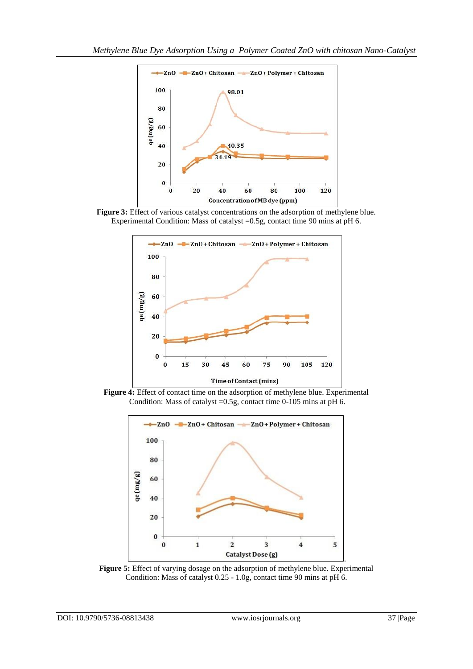





**Figure 4:** Effect of contact time on the adsorption of methylene blue. Experimental Condition: Mass of catalyst =0.5g, contact time 0-105 mins at pH 6.



**Figure 5:** Effect of varying dosage on the adsorption of methylene blue. Experimental Condition: Mass of catalyst 0.25 - 1.0g, contact time 90 mins at pH 6.